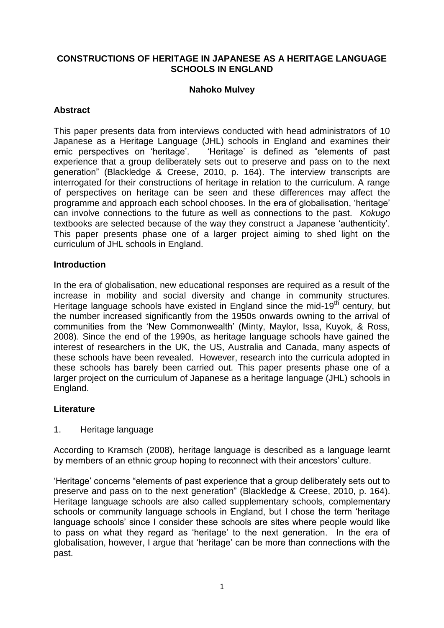# **CONSTRUCTIONS OF HERITAGE IN JAPANESE AS A HERITAGE LANGUAGE SCHOOLS IN ENGLAND**

# **Nahoko Mulvey**

# **Abstract**

This paper presents data from interviews conducted with head administrators of 10 Japanese as a Heritage Language (JHL) schools in England and examines their emic perspectives on 'heritage'. 'Heritage' is defined as "elements of past experience that a group deliberately sets out to preserve and pass on to the next generation" (Blackledge & Creese, 2010, p. 164). The interview transcripts are interrogated for their constructions of heritage in relation to the curriculum. A range of perspectives on heritage can be seen and these differences may affect the programme and approach each school chooses. In the era of globalisation, 'heritage' can involve connections to the future as well as connections to the past. *Kokugo* textbooks are selected because of the way they construct a Japanese 'authenticity'. This paper presents phase one of a larger project aiming to shed light on the curriculum of JHL schools in England.

#### **Introduction**

In the era of globalisation, new educational responses are required as a result of the increase in mobility and social diversity and change in community structures. Heritage language schools have existed in England since the mid-19<sup>th</sup> century, but the number increased significantly from the 1950s onwards owning to the arrival of communities from the 'New Commonwealth' (Minty, Maylor, Issa, Kuyok, & Ross, 2008). Since the end of the 1990s, as heritage language schools have gained the interest of researchers in the UK, the US, Australia and Canada, many aspects of these schools have been revealed. However, research into the curricula adopted in these schools has barely been carried out. This paper presents phase one of a larger project on the curriculum of Japanese as a heritage language (JHL) schools in England.

# **Literature**

#### 1. Heritage language

According to Kramsch (2008), heritage language is described as a language learnt by members of an ethnic group hoping to reconnect with their ancestors' culture.

'Heritage' concerns "elements of past experience that a group deliberately sets out to preserve and pass on to the next generation" (Blackledge & Creese, 2010, p. 164). Heritage language schools are also called supplementary schools, complementary schools or community language schools in England, but I chose the term 'heritage language schools' since I consider these schools are sites where people would like to pass on what they regard as 'heritage' to the next generation. In the era of globalisation, however, I argue that 'heritage' can be more than connections with the past.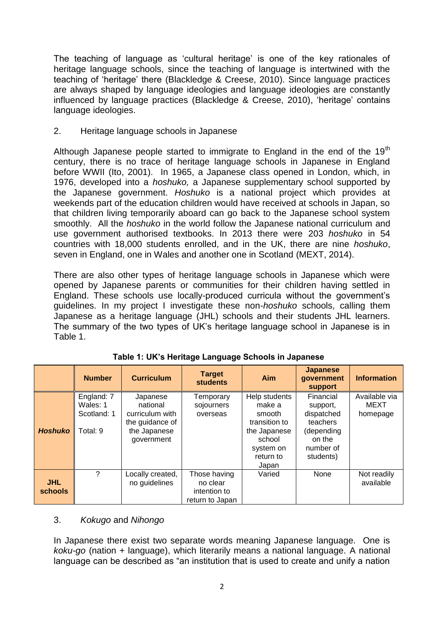The teaching of language as 'cultural heritage' is one of the key rationales of heritage language schools, since the teaching of language is intertwined with the teaching of 'heritage' there (Blackledge & Creese, 2010). Since language practices are always shaped by language ideologies and language ideologies are constantly influenced by language practices (Blackledge & Creese, 2010), 'heritage' contains language ideologies.

# 2. Heritage language schools in Japanese

Although Japanese people started to immigrate to England in the end of the 19<sup>th</sup> century, there is no trace of heritage language schools in Japanese in England before WWII (Ito, 2001). In 1965, a Japanese class opened in London, which, in 1976, developed into a *hoshuko,* a Japanese supplementary school supported by the Japanese government. *Hoshuko* is a national project which provides at weekends part of the education children would have received at schools in Japan, so that children living temporarily aboard can go back to the Japanese school system smoothly. All the *hoshuko* in the world follow the Japanese national curriculum and use government authorised textbooks. In 2013 there were 203 *hoshuko* in 54 countries with 18,000 students enrolled, and in the UK, there are nine *hoshuko*, seven in England, one in Wales and another one in Scotland (MEXT, 2014).

There are also other types of heritage language schools in Japanese which were opened by Japanese parents or communities for their children having settled in England. These schools use locally-produced curricula without the government's guidelines. In my project I investigate these non-*hoshuko* schools, calling them Japanese as a heritage language (JHL) schools and their students JHL learners. The summary of the two types of UK's heritage language school in Japanese is in Table 1.

|                       | <b>Number</b>                                     | <b>Curriculum</b>                                                                        | <b>Target</b><br><b>students</b>                            | Aim                                                                                                             | <b>Japanese</b><br>qovernment<br>support                                                          | <b>Information</b>                       |
|-----------------------|---------------------------------------------------|------------------------------------------------------------------------------------------|-------------------------------------------------------------|-----------------------------------------------------------------------------------------------------------------|---------------------------------------------------------------------------------------------------|------------------------------------------|
| <b>Hoshuko</b>        | England: 7<br>Wales: 1<br>Scotland: 1<br>Total: 9 | Japanese<br>national<br>curriculum with<br>the guidance of<br>the Japanese<br>government | Temporary<br>sojourners<br>overseas                         | Help students<br>make a<br>smooth<br>transition to<br>the Japanese<br>school<br>system on<br>return to<br>Japan | Financial<br>support,<br>dispatched<br>teachers<br>(depending<br>on the<br>number of<br>students) | Available via<br><b>MEXT</b><br>homepage |
| <b>JHL</b><br>schools | ?                                                 | Locally created,<br>no guidelines                                                        | Those having<br>no clear<br>intention to<br>return to Japan | Varied                                                                                                          | None                                                                                              | Not readily<br>available                 |

| Table 1: UK's Heritage Language Schools in Japanese |  |  |  |  |  |
|-----------------------------------------------------|--|--|--|--|--|
|-----------------------------------------------------|--|--|--|--|--|

# 3. *Kokugo* and *Nihongo*

In Japanese there exist two separate words meaning Japanese language. One is *koku-go* (nation + language), which literarily means a national language. A national language can be described as "an institution that is used to create and unify a nation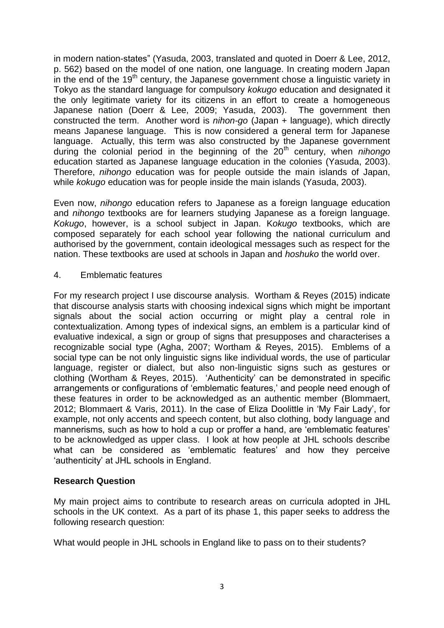in modern nation-states" (Yasuda, 2003, translated and quoted in Doerr & Lee, 2012, p. 562) based on the model of one nation, one language. In creating modern Japan in the end of the  $19<sup>th</sup>$  century, the Japanese government chose a linguistic variety in Tokyo as the standard language for compulsory *kokugo* education and designated it the only legitimate variety for its citizens in an effort to create a homogeneous Japanese nation (Doerr & Lee, 2009; Yasuda, 2003). The government then constructed the term. Another word is *nihon-go* (Japan + language), which directly means Japanese language. This is now considered a general term for Japanese language. Actually, this term was also constructed by the Japanese government during the colonial period in the beginning of the 20<sup>th</sup> century, when *nihongo* education started as Japanese language education in the colonies (Yasuda, 2003). Therefore, *nihongo* education was for people outside the main islands of Japan, while *kokugo* education was for people inside the main islands (Yasuda, 2003).

Even now, *nihongo* education refers to Japanese as a foreign language education and *nihongo* textbooks are for learners studying Japanese as a foreign language. *Kokugo*, however, is a school subject in Japan. K*okugo* textbooks, which are composed separately for each school year following the national curriculum and authorised by the government, contain ideological messages such as respect for the nation. These textbooks are used at schools in Japan and *hoshuko* the world over.

4. Emblematic features

For my research project I use discourse analysis. Wortham & Reyes (2015) indicate that discourse analysis starts with choosing indexical signs which might be important signals about the social action occurring or might play a central role in contextualization. Among types of indexical signs, an emblem is a particular kind of evaluative indexical, a sign or group of signs that presupposes and characterises a recognizable social type (Agha, 2007; Wortham & Reyes, 2015). Emblems of a social type can be not only linguistic signs like individual words, the use of particular language, register or dialect, but also non-linguistic signs such as gestures or clothing (Wortham & Reyes, 2015). 'Authenticity' can be demonstrated in specific arrangements or configurations of 'emblematic features,' and people need enough of these features in order to be acknowledged as an authentic member (Blommaert, 2012; Blommaert & Varis, 2011). In the case of Eliza Doolittle in 'My Fair Lady', for example, not only accents and speech content, but also clothing, body language and mannerisms, such as how to hold a cup or proffer a hand, are 'emblematic features' to be acknowledged as upper class. I look at how people at JHL schools describe what can be considered as 'emblematic features' and how they perceive 'authenticity' at JHL schools in England.

# **Research Question**

My main project aims to contribute to research areas on curricula adopted in JHL schools in the UK context. As a part of its phase 1, this paper seeks to address the following research question:

What would people in JHL schools in England like to pass on to their students?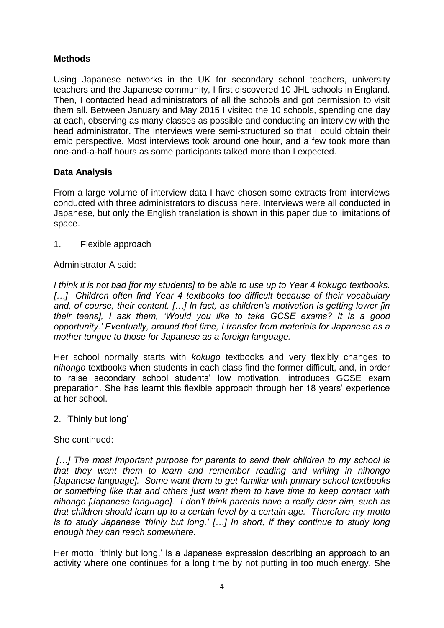# **Methods**

Using Japanese networks in the UK for secondary school teachers, university teachers and the Japanese community, I first discovered 10 JHL schools in England. Then, I contacted head administrators of all the schools and got permission to visit them all. Between January and May 2015 I visited the 10 schools, spending one day at each, observing as many classes as possible and conducting an interview with the head administrator. The interviews were semi-structured so that I could obtain their emic perspective. Most interviews took around one hour, and a few took more than one-and-a-half hours as some participants talked more than I expected.

# **Data Analysis**

From a large volume of interview data I have chosen some extracts from interviews conducted with three administrators to discuss here. Interviews were all conducted in Japanese, but only the English translation is shown in this paper due to limitations of space.

1. Flexible approach

# Administrator A said:

*I think it is not bad [for my students] to be able to use up to Year 4 kokugo textbooks.*  [...] Children often find Year 4 textbooks too difficult because of their vocabulary *and, of course, their content. […] In fact, as children's motivation is getting lower [in their teens], I ask them, 'Would you like to take GCSE exams? It is a good opportunity.' Eventually, around that time, I transfer from materials for Japanese as a mother tongue to those for Japanese as a foreign language.*

Her school normally starts with *kokugo* textbooks and very flexibly changes to *nihongo* textbooks when students in each class find the former difficult, and, in order to raise secondary school students' low motivation, introduces GCSE exam preparation. She has learnt this flexible approach through her 18 years' experience at her school.

# 2. 'Thinly but long'

She continued:

[...] The most important purpose for parents to send their children to my school is *that they want them to learn and remember reading and writing in nihongo [Japanese language]. Some want them to get familiar with primary school textbooks or something like that and others just want them to have time to keep contact with nihongo [Japanese language]. I don't think parents have a really clear aim, such as that children should learn up to a certain level by a certain age. Therefore my motto is to study Japanese 'thinly but long.' […] In short, if they continue to study long enough they can reach somewhere.*

Her motto, 'thinly but long,' is a Japanese expression describing an approach to an activity where one continues for a long time by not putting in too much energy. She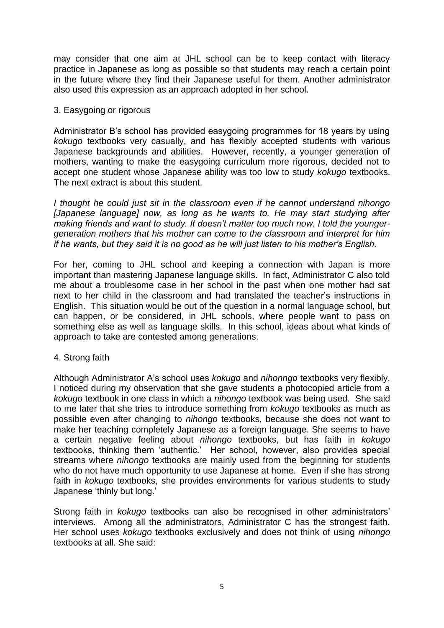may consider that one aim at JHL school can be to keep contact with literacy practice in Japanese as long as possible so that students may reach a certain point in the future where they find their Japanese useful for them. Another administrator also used this expression as an approach adopted in her school.

# 3. Easygoing or rigorous

Administrator B's school has provided easygoing programmes for 18 years by using *kokugo* textbooks very casually, and has flexibly accepted students with various Japanese backgrounds and abilities. However, recently, a younger generation of mothers, wanting to make the easygoing curriculum more rigorous, decided not to accept one student whose Japanese ability was too low to study *kokugo* textbooks. The next extract is about this student.

*I thought he could just sit in the classroom even if he cannot understand nihongo [Japanese language] now, as long as he wants to. He may start studying after making friends and want to study. It doesn't matter too much now. I told the youngergeneration mothers that his mother can come to the classroom and interpret for him if he wants, but they said it is no good as he will just listen to his mother's English.*

For her, coming to JHL school and keeping a connection with Japan is more important than mastering Japanese language skills. In fact, Administrator C also told me about a troublesome case in her school in the past when one mother had sat next to her child in the classroom and had translated the teacher's instructions in English. This situation would be out of the question in a normal language school, but can happen, or be considered, in JHL schools, where people want to pass on something else as well as language skills. In this school, ideas about what kinds of approach to take are contested among generations.

# 4. Strong faith

Although Administrator A's school uses *kokugo* and *nihonngo* textbooks very flexibly, I noticed during my observation that she gave students a photocopied article from a *kokugo* textbook in one class in which a *nihongo* textbook was being used. She said to me later that she tries to introduce something from *kokugo* textbooks as much as possible even after changing to *nihongo* textbooks, because she does not want to make her teaching completely Japanese as a foreign language. She seems to have a certain negative feeling about *nihongo* textbooks, but has faith in *kokugo* textbooks, thinking them 'authentic.' Her school, however, also provides special streams where *nihongo* textbooks are mainly used from the beginning for students who do not have much opportunity to use Japanese at home. Even if she has strong faith in *kokugo* textbooks, she provides environments for various students to study Japanese 'thinly but long.'

Strong faith in *kokugo* textbooks can also be recognised in other administrators' interviews. Among all the administrators, Administrator C has the strongest faith. Her school uses *kokugo* textbooks exclusively and does not think of using *nihongo* textbooks at all. She said: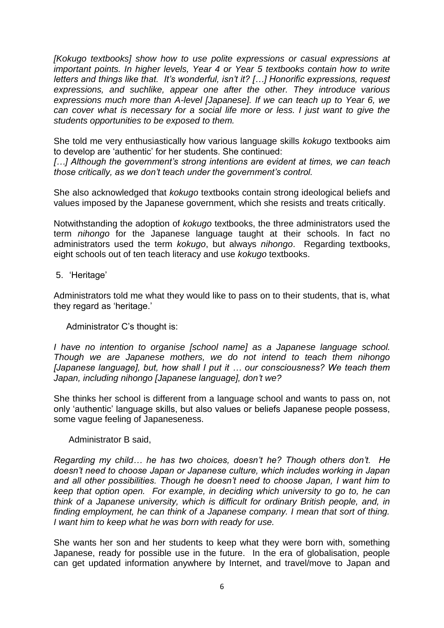*[Kokugo textbooks] show how to use polite expressions or casual expressions at important points. In higher levels, Year 4 or Year 5 textbooks contain how to write letters and things like that. It's wonderful, isn't it? […] Honorific expressions, request expressions, and suchlike, appear one after the other. They introduce various expressions much more than A-level [Japanese]. If we can teach up to Year 6, we can cover what is necessary for a social life more or less. I just want to give the students opportunities to be exposed to them.* 

She told me very enthusiastically how various language skills *kokugo* textbooks aim to develop are 'authentic' for her students. She continued:

*[…] Although the government's strong intentions are evident at times, we can teach those critically, as we don't teach under the government's control.*

She also acknowledged that *kokugo* textbooks contain strong ideological beliefs and values imposed by the Japanese government, which she resists and treats critically.

Notwithstanding the adoption of *kokugo* textbooks, the three administrators used the term *nihongo* for the Japanese language taught at their schools. In fact no administrators used the term *kokugo*, but always *nihongo*. Regarding textbooks, eight schools out of ten teach literacy and use *kokugo* textbooks.

# 5. 'Heritage'

Administrators told me what they would like to pass on to their students, that is, what they regard as 'heritage.'

Administrator C's thought is:

*I have no intention to organise [school name] as a Japanese language school. Though we are Japanese mothers, we do not intend to teach them nihongo [Japanese language], but, how shall I put it … our consciousness? We teach them Japan, including nihongo [Japanese language], don't we?*

She thinks her school is different from a language school and wants to pass on, not only 'authentic' language skills, but also values or beliefs Japanese people possess, some vague feeling of Japaneseness.

Administrator B said,

*Regarding my child… he has two choices, doesn't he? Though others don't. He doesn't need to choose Japan or Japanese culture, which includes working in Japan and all other possibilities. Though he doesn't need to choose Japan, I want him to keep that option open. For example, in deciding which university to go to, he can think of a Japanese university, which is difficult for ordinary British people, and, in finding employment, he can think of a Japanese company. I mean that sort of thing. I want him to keep what he was born with ready for use.*

She wants her son and her students to keep what they were born with, something Japanese, ready for possible use in the future. In the era of globalisation, people can get updated information anywhere by Internet, and travel/move to Japan and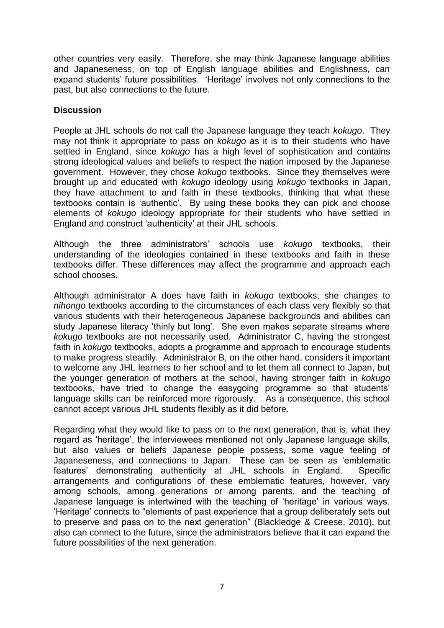other countries very easily. Therefore, she may think Japanese language abilities and Japaneseness, on top of English language abilities and Englishness, can expand students' future possibilities. 'Heritage' involves not only connections to the past, but also connections to the future.

# **Discussion**

People at JHL schools do not call the Japanese language they teach *kokugo*. They may not think it appropriate to pass on *kokugo* as it is to their students who have settled in England, since *kokugo* has a high level of sophistication and contains strong ideological values and beliefs to respect the nation imposed by the Japanese government. However, they chose *kokugo* textbooks. Since they themselves were brought up and educated with *kokugo* ideology using *kokugo* textbooks in Japan, they have attachment to and faith in these textbooks, thinking that what these textbooks contain is 'authentic'. By using these books they can pick and choose elements of *kokugo* ideology appropriate for their students who have settled in England and construct 'authenticity' at their JHL schools.

Although the three administrators' schools use *kokugo* textbooks, their understanding of the ideologies contained in these textbooks and faith in these textbooks differ. These differences may affect the programme and approach each school chooses.

Although administrator A does have faith in *kokugo* textbooks, she changes to *nihongo* textbooks according to the circumstances of each class very flexibly so that various students with their heterogeneous Japanese backgrounds and abilities can study Japanese literacy 'thinly but long'. She even makes separate streams where *kokugo* textbooks are not necessarily used. Administrator C, having the strongest faith in *kokugo* textbooks, adopts a programme and approach to encourage students to make progress steadily. Administrator B, on the other hand, considers it important to welcome any JHL learners to her school and to let them all connect to Japan, but the younger generation of mothers at the school, having stronger faith in *kokugo* textbooks, have tried to change the easygoing programme so that students' language skills can be reinforced more rigorously. As a consequence, this school cannot accept various JHL students flexibly as it did before.

Regarding what they would like to pass on to the next generation, that is, what they regard as 'heritage', the interviewees mentioned not only Japanese language skills, but also values or beliefs Japanese people possess, some vague feeling of Japaneseness, and connections to Japan. These can be seen as 'emblematic features' demonstrating authenticity at JHL schools in England. Specific arrangements and configurations of these emblematic features, however, vary among schools, among generations or among parents, and the teaching of Japanese language is intertwined with the teaching of 'heritage' in various ways. 'Heritage' connects to "elements of past experience that a group deliberately sets out to preserve and pass on to the next generation" (Blackledge & Creese, 2010), but also can connect to the future, since the administrators believe that it can expand the future possibilities of the next generation.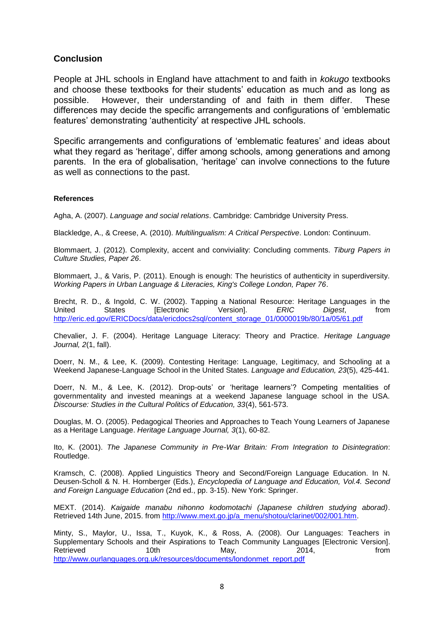# **Conclusion**

People at JHL schools in England have attachment to and faith in *kokugo* textbooks and choose these textbooks for their students' education as much and as long as possible. However, their understanding of and faith in them differ. These differences may decide the specific arrangements and configurations of 'emblematic features' demonstrating 'authenticity' at respective JHL schools.

Specific arrangements and configurations of 'emblematic features' and ideas about what they regard as 'heritage', differ among schools, among generations and among parents. In the era of globalisation, 'heritage' can involve connections to the future as well as connections to the past.

#### **References**

Agha, A. (2007). *Language and social relations*. Cambridge: Cambridge University Press.

Blackledge, A., & Creese, A. (2010). *Multilingualism: A Critical Perspective*. London: Continuum.

Blommaert, J. (2012). Complexity, accent and conviviality: Concluding comments. *Tiburg Papers in Culture Studies, Paper 26*.

Blommaert, J., & Varis, P. (2011). Enough is enough: The heuristics of authenticity in superdiversity. *Working Papers in Urban Language & Literacies, King's College London, Paper 76*.

Brecht, R. D., & Ingold, C. W. (2002). Tapping a National Resource: Heritage Languages in the<br>United States [Electronic Version]. ERIC Digest, from United States [Electronic Version]. *ERIC Digest*, from [http://eric.ed.gov/ERICDocs/data/ericdocs2sql/content\\_storage\\_01/0000019b/80/1a/05/61.pdf](http://eric.ed.gov/ERICDocs/data/ericdocs2sql/content_storage_01/0000019b/80/1a/05/61.pdf)

Chevalier, J. F. (2004). Heritage Language Literacy: Theory and Practice. *Heritage Language Journal, 2*(1, fall).

Doerr, N. M., & Lee, K. (2009). Contesting Heritage: Language, Legitimacy, and Schooling at a Weekend Japanese-Language School in the United States. *Language and Education, 23*(5), 425-441.

Doerr, N. M., & Lee, K. (2012). Drop-outs' or 'heritage learners'? Competing mentalities of governmentality and invested meanings at a weekend Japanese language school in the USA. *Discourse: Studies in the Cultural Politics of Education, 33*(4), 561-573.

Douglas, M. O. (2005). Pedagogical Theories and Approaches to Teach Young Learners of Japanese as a Heritage Language. *Heritage Language Journal, 3*(1), 60-82.

Ito, K. (2001). *The Japanese Community in Pre-War Britain: From Integration to Disintegration*: Routledge.

Kramsch, C. (2008). Applied Linguistics Theory and Second/Foreign Language Education. In N. Deusen-Scholl & N. H. Hornberger (Eds.), *Encyclopedia of Language and Education, Vol.4. Second and Foreign Language Education* (2nd ed., pp. 3-15). New York: Springer.

MEXT. (2014). *Kaigaide manabu nihonno kodomotachi (Japanese children studying aborad)*. Retrieved 14th June, 2015. from [http://www.mext.go.jp/a\\_menu/shotou/clarinet/002/001.htm.](http://www.mext.go.jp/a_menu/shotou/clarinet/002/001.htm)

Minty, S., Maylor, U., Issa, T., Kuyok, K., & Ross, A. (2008). Our Languages: Teachers in Supplementary Schools and their Aspirations to Teach Community Languages [Electronic Version]. Retrieved 10th 10th May, 2014, from [http://www.ourlanguages.org.uk/resources/documents/londonmet\\_report.pdf](http://www.ourlanguages.org.uk/resources/documents/londonmet_report.pdf)